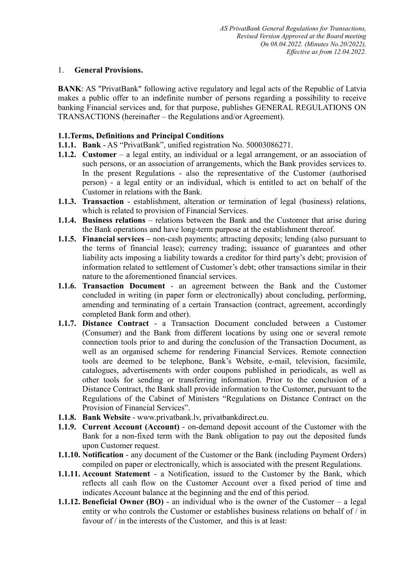#### 1. **General Provisions.**

**BANK:** AS "PrivatBank" following active regulatory and legal acts of the Republic of Latvia makes a public offer to an indefinite number of persons regarding a possibility to receive banking Financial services and, for that purpose, publishes GENERAL REGULATIONS ON TRANSACTIONS (hereinafter – the Regulations and/or Agreement).

## **1.1.Terms, Definitions and Principal Conditions**

- **1.1.1. Bank** AS "PrivatBank", unified registration No. 50003086271.
- **1.1.2. Customer** a legal entity, an individual or a legal arrangement, or an association of such persons, or an association of arrangements, which the Bank provides services to. In the present Regulations - also the representative of the Customer (authorised person) - a legal entity or an individual, which is entitled to act on behalf of the Customer in relations with the Bank.
- **1.1.3. Transaction**  establishment, alteration or termination of legal (business) relations, which is related to provision of Financial Services.
- **1.1.4. Business relations** relations between the Bank and the Customer that arise during the Bank operations and have long-term purpose at the establishment thereof.
- **1.1.5. Financial services –** non-cash payments; attracting deposits; lending (also pursuant to the terms of financial lease); currency trading; issuance of guarantees and other liability acts imposing a liability towards a creditor for third party's debt; provision of information related to settlement of Customer's debt; other transactions similar in their nature to the aforementioned financial services.
- **1.1.6. Transaction Document**  an agreement between the Bank and the Customer concluded in writing (in paper form or electronically) about concluding, performing, amending and terminating of a certain Transaction (contract, agreement, accordingly completed Bank form and other).
- **1.1.7. Distance Contract**  a Transaction Document concluded between a Customer (Consumer) and the Bank from different locations by using one or several remote connection tools prior to and during the conclusion of the Transaction Document, as well as an organised scheme for rendering Financial Services. Remote connection tools are deemed to be telephone, Bank's Website, e-mail, television, facsimile, catalogues, advertisements with order coupons published in periodicals, as well as other tools for sending or transferring information. Prior to the conclusion of a Distance Contract, the Bank shall provide information to the Customer, pursuant to the Regulations of the Cabinet of Ministers "Regulations on Distance Contract on the Provision of Financial Services".
- **1.1.8. Bank Website**  www.privatbank.lv, privatbankdirect.eu.
- **1.1.9. Current Account (Account)**  on-demand deposit account of the Customer with the Bank for a non-fixed term with the Bank obligation to pay out the deposited funds upon Customer request.
- **1.1.10. Notification** any document of the Customer or the Bank (including Payment Orders) compiled on paper or electronically, which is associated with the present Regulations.
- **1.1.11. Account Statement** a Notification, issued to the Customer by the Bank, which reflects all cash flow on the Customer Account over a fixed period of time and indicates Account balance at the beginning and the end of this period.
- **1.1.12. Beneficial Owner (BO)** an individual who is the owner of the Customer a legal entity or who controls the Customer or establishes business relations on behalf of / in favour of / in the interests of the Customer, and this is at least: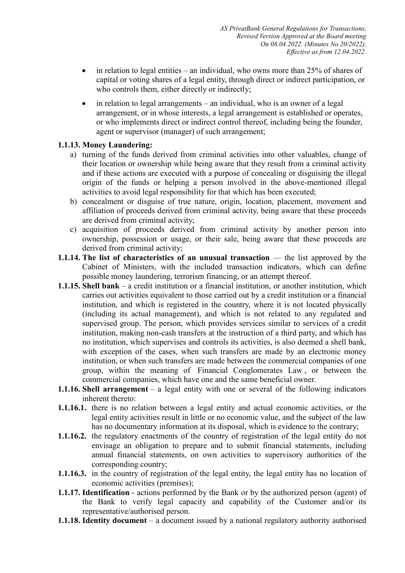- in relation to legal entities an individual, who owns more than  $25\%$  of shares of capital or voting shares of a legal entity, through direct or indirect participation, or who controls them, either directly or indirectly;
- in relation to legal arrangements an individual, who is an owner of a legal arrangement, or in whose interests, a legal arrangement is established or operates, or who implements direct or indirect control thereof, including being the founder, agent or supervisor (manager) of such arrangement;

# **1.1.13. Money Laundering:**

- a) turning of the funds derived from criminal activities into other valuables, change of their location or ownership while being aware that they result from a criminal activity and if these actions are executed with a purpose of concealing or disguising the illegal origin of the funds or helping a person involved in the above-mentioned illegal activities to avoid legal responsibility for that which has been executed;
- b) concealment or disguise of true nature, origin, location, placement, movement and affiliation of proceeds derived from criminal activity, being aware that these proceeds are derived from criminal activity;
- c) acquisition of proceeds derived from criminal activity by another person into ownership, possession or usage, or their sale, being aware that these proceeds are derived from criminal activity;
- **1.1.14.** The list of characteristics of an unusual transaction the list approved by the Cabinet of Ministers, with the included transaction indicators, which can define possible money laundering, terrorism financing, or an attempt thereof.
- **1.1.15. Shell bank** a credit institution or a financial institution, or another institution, which carries out activities equivalent to those carried out by a credit institution or a financial institution, and which is registered in the country, where it is not located physically (including its actual management), and which is not related to any regulated and supervised group. The person, which provides services similar to services of a credit institution, making non-cash transfers at the instruction of a third party, and which has no institution, which supervises and controls its activities, is also deemed a shell bank, with exception of the cases, when such transfers are made by an electronic money institution, or when such transfers are made between the commercial companies of one group, within the meaning of Financial Conglomerates Law , or between the commercial companies, which have one and the same beneficial owner.
- **1.1.16. Shell arrangement** a legal entity with one or several of the following indicators inherent thereto:
- **1.1.16.1.** there is no relation between a legal entity and actual economic activities, or the legal entity activities result in little or no economic value, and the subject of the law has no documentary information at its disposal, which is evidence to the contrary;
- **1.1.16.2.** the regulatory enactments of the country of registration of the legal entity do not envisage an obligation to prepare and to submit financial statements, including annual financial statements, on own activities to supervisory authorities of the corresponding country;
- **1.1.16.3.** in the country of registration of the legal entity, the legal entity has no location of economic activities (premises);
- **1.1.17. Identification**  actions performed by the Bank or by the authorized person (agent) of the Bank to verify legal capacity and capability of the Customer and/or its representative/authorised person.
- **1.1.18. Identity document** a document issued by a national regulatory authority authorised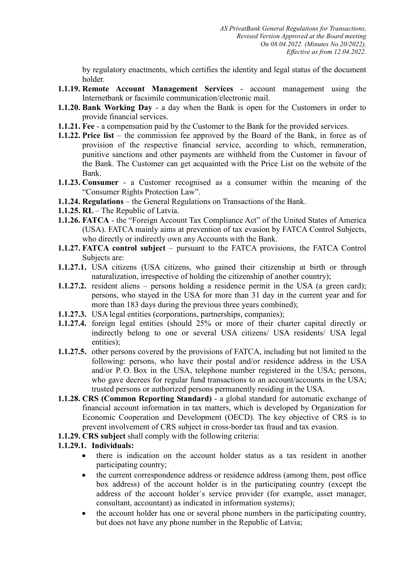by regulatory enactments, which certifies the identity and legal status of the document holder.

- **1.1.19. Remote Account Management Services**  account management using the Internetbank or facsimile communication/electronic mail.
- **1.1.20. Bank Working Day**  a day when the Bank is open for the Customers in order to provide financial services.
- **1.1.21. Fee** a compensation paid by the Customer to the Bank for the provided services.
- **1.1.22. Price list** the commission fee approved by the Board of the Bank, in force as of provision of the respective financial service, according to which, remuneration, punitive sanctions and other payments are withheld from the Customer in favour of the Bank. The Customer can get acquainted with the Price List on the website of the Bank.
- **1.1.23. Consumer** a Customer recognised as a consumer within the meaning of the "Consumer Rights Protection Law".
- **1.1.24. Regulations** the General Regulations on Transactions of the Bank.
- **1.1.25. RL**  The Republic of Latvia.
- **1.1.26. FATCA** the "Foreign Account Tax Compliance Act" of the United States of America (USA). FATCA mainly aims at prevention of tax evasion by FATCA Control Subjects, who directly or indirectly own any Accounts with the Bank.
- **1.1.27. FATCA control subject** pursuant to the FATCA provisions, the FATCA Control Subjects are:
- **1.1.27.1.** USA citizens (USA citizens, who gained their citizenship at birth or through naturalization, irrespective of holding the citizenship of another country);
- **1.1.27.2.** resident aliens persons holding a residence permit in the USA (a green card); persons, who stayed in the USA for more than 31 day in the current year and for more than 183 days during the previous three years combined);
- **1.1.27.3.** USA legal entities (corporations, partnerships, companies);
- **1.1.27.4.** foreign legal entities (should 25% or more of their charter capital directly or indirectly belong to one or several USA citizens/ USA residents/ USA legal entities);
- **1.1.27.5.** other persons covered by the provisions of FATCA, including but not limited to the following: persons, who have their postal and/or residence address in the USA and/or P. O. Box in the USA, telephone number registered in the USA; persons, who gave decrees for regular fund transactions to an account/accounts in the USA; trusted persons or authorized persons permanently residing in the USA.
- **1.1.28. CRS (Common Reporting Standard)** a global standard for automatic exchange of financial account information in tax matters, which is developed by Organization for Economic Cooperation and Development (OECD). The key objective of CRS is to prevent involvement of CRS subject in cross-border tax fraud and tax evasion.
- **1.1.29. CRS subject** shall comply with the following criteria:

# **1.1.29.1. Individuals:**

- there is indication on the account holder status as a tax resident in another participating country;
- the current correspondence address or residence address (among them, post office box address) of the account holder is in the participating country (except the address of the account holder`s service provider (for example, asset manager, consultant, accountant) as indicated in information systems);
- the account holder has one or several phone numbers in the participating country, but does not have any phone number in the Republic of Latvia;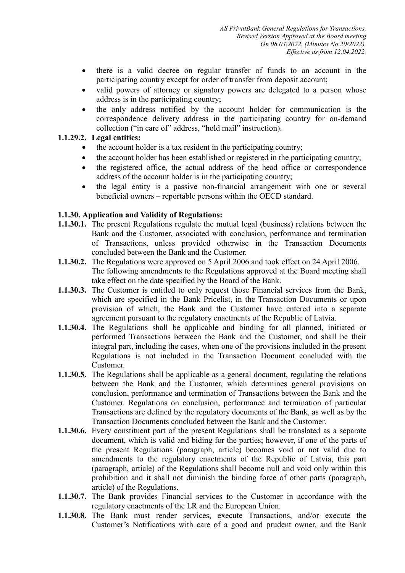- there is a valid decree on regular transfer of funds to an account in the participating country except for order of transfer from deposit account;
- valid powers of attorney or signatory powers are delegated to a person whose address is in the participating country;
- the only address notified by the account holder for communication is the correspondence delivery address in the participating country for on-demand collection ("in care of" address, "hold mail" instruction).

## **1.1.29.2. Legal entities:**

- the account holder is a tax resident in the participating country;
- the account holder has been established or registered in the participating country;
- the registered office, the actual address of the head office or correspondence address of the account holder is in the participating country;
- the legal entity is a passive non-financial arrangement with one or several beneficial owners – reportable persons within the OECD standard.

## **1.1.30. Application and Validity of Regulations:**

- **1.1.30.1.** The present Regulations regulate the mutual legal (business) relations between the Bank and the Customer, associated with conclusion, performance and termination of Transactions, unless provided otherwise in the Transaction Documents concluded between the Bank and the Customer.
- **1.1.30.2.** The Regulations were approved on 5 April 2006 and took effect on 24 April 2006. The following amendments to the Regulations approved at the Board meeting shall take effect on the date specified by the Board of the Bank.
- **1.1.30.3.** The Customer is entitled to only request those Financial services from the Bank, which are specified in the Bank Pricelist, in the Transaction Documents or upon provision of which, the Bank and the Customer have entered into a separate agreement pursuant to the regulatory enactments of the Republic of Latvia.
- **1.1.30.4.** The Regulations shall be applicable and binding for all planned, initiated or performed Transactions between the Bank and the Customer, and shall be their integral part, including the cases, when one of the provisions included in the present Regulations is not included in the Transaction Document concluded with the Customer.
- **1.1.30.5.** The Regulations shall be applicable as a general document, regulating the relations between the Bank and the Customer, which determines general provisions on conclusion, performance and termination of Transactions between the Bank and the Customer. Regulations on conclusion, performance and termination of particular Transactions are defined by the regulatory documents of the Bank, as well as by the Transaction Documents concluded between the Bank and the Customer.
- **1.1.30.6.** Every constituent part of the present Regulations shall be translated as a separate document, which is valid and biding for the parties; however, if one of the parts of the present Regulations (paragraph, article) becomes void or not valid due to amendments to the regulatory enactments of the Republic of Latvia, this part (paragraph, article) of the Regulations shall become null and void only within this prohibition and it shall not diminish the binding force of other parts (paragraph, article) of the Regulations.
- **1.1.30.7.** The Bank provides Financial services to the Customer in accordance with the regulatory enactments of the LR and the European Union.
- **1.1.30.8.** The Bank must render services, execute Transactions, and/or execute the Customer's Notifications with care of a good and prudent owner, and the Bank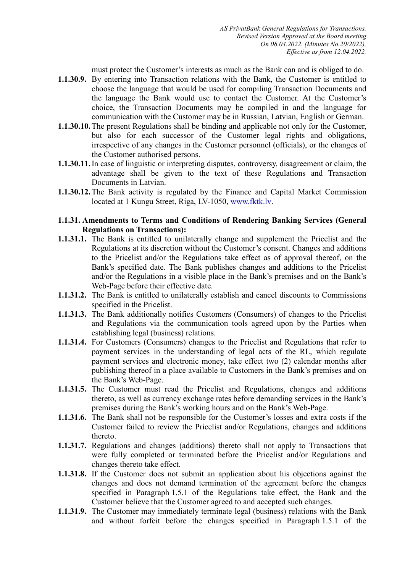must protect the Customer's interests as much as the Bank can and is obliged to do.

- **1.1.30.9.** By entering into Transaction relations with the Bank, the Customer is entitled to choose the language that would be used for compiling Transaction Documents and the language the Bank would use to contact the Customer. At the Customer's choice, the Transaction Documents may be compiled in and the language for communication with the Customer may be in Russian, Latvian, English or German.
- **1.1.30.10.**The present Regulations shall be binding and applicable not only for the Customer, but also for each successor of the Customer legal rights and obligations, irrespective of any changes in the Customer personnel (officials), or the changes of the Customer authorised persons.
- **1.1.30.11.**In case of linguistic or interpreting disputes, controversy, disagreement or claim, the advantage shall be given to the text of these Regulations and Transaction Documents in Latvian.
- **1.1.30.12.**The Bank activity is regulated by the Finance and Capital Market Commission located at 1 Kungu Street, Riga, LV-1050, [www.fktk.lv.](http://www.fktk.lv/)

#### **1.1.31. Amendments to Terms and Conditions of Rendering Banking Services (General Regulations on Transactions):**

- **1.1.31.1.** The Bank is entitled to unilaterally change and supplement the Pricelist and the Regulations at its discretion without the Customer's consent. Changes and additions to the Pricelist and/or the Regulations take effect as of approval thereof, on the Bank's specified date. The Bank publishes changes and additions to the Pricelist and/or the Regulations in a visible place in the Bank's premises and on the Bank's Web-Page before their effective date.
- **1.1.31.2.** The Bank is entitled to unilaterally establish and cancel discounts to Commissions specified in the Pricelist.
- **1.1.31.3.** The Bank additionally notifies Customers (Consumers) of changes to the Pricelist and Regulations via the communication tools agreed upon by the Parties when establishing legal (business) relations.
- **1.1.31.4.** For Customers (Consumers) changes to the Pricelist and Regulations that refer to payment services in the understanding of legal acts of the RL, which regulate payment services and electronic money, take effect two (2) calendar months after publishing thereof in a place available to Customers in the Bank's premises and on the Bank's Web-Page.
- **1.1.31.5.** The Customer must read the Pricelist and Regulations, changes and additions thereto, as well as currency exchange rates before demanding services in the Bank's premises during the Bank's working hours and on the Bank's Web-Page.
- **1.1.31.6.** The Bank shall not be responsible for the Customer's losses and extra costs if the Customer failed to review the Pricelist and/or Regulations, changes and additions thereto.
- **1.1.31.7.** Regulations and changes (additions) thereto shall not apply to Transactions that were fully completed or terminated before the Pricelist and/or Regulations and changes thereto take effect.
- **1.1.31.8.** If the Customer does not submit an application about his objections against the changes and does not demand termination of the agreement before the changes specified in Paragraph 1.5.1 of the Regulations take effect, the Bank and the Customer believe that the Customer agreed to and accepted such changes.
- **1.1.31.9.** The Customer may immediately terminate legal (business) relations with the Bank and without forfeit before the changes specified in Paragraph 1.5.1 of the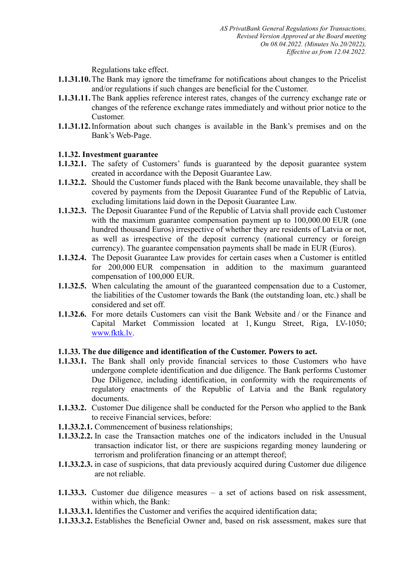Regulations take effect.

- **1.1.31.10.**The Bank may ignore the timeframe for notifications about changes to the Pricelist and/or regulations if such changes are beneficial for the Customer.
- **1.1.31.11.**The Bank applies reference interest rates, changes of the currency exchange rate or changes of the reference exchange rates immediately and without prior notice to the Customer.
- **1.1.31.12.**Information about such changes is available in the Bank's premises and on the Bank's Web-Page.

## **1.1.32. Investment guarantee**

- **1.1.32.1.** The safety of Customers' funds is guaranteed by the deposit guarantee system created in accordance with the Deposit Guarantee Law.
- **1.1.32.2.** Should the Customer funds placed with the Bank become unavailable, they shall be covered by payments from the Deposit Guarantee Fund of the Republic of Latvia, excluding limitations laid down in the Deposit Guarantee Law.
- **1.1.32.3.** The Deposit Guarantee Fund of the Republic of Latvia shall provide each Customer with the maximum guarantee compensation payment up to 100,000.00 EUR (one hundred thousand Euros) irrespective of whether they are residents of Latvia or not, as well as irrespective of the deposit currency (national currency or foreign currency). The guarantee compensation payments shall be made in EUR (Euros).
- **1.1.32.4.** The Deposit Guarantee Law provides for certain cases when a Customer is entitled for 200,000 EUR compensation in addition to the maximum guaranteed compensation of 100,000 EUR.
- **1.1.32.5.** When calculating the amount of the guaranteed compensation due to a Customer, the liabilities of the Customer towards the Bank (the outstanding loan, etc.) shall be considered and set off.
- **1.1.32.6.** For more details Customers can visit the Bank Website and / or the Finance and Capital Market Commission located at 1, Kungu Street, Riga, LV-1050; [www.fktk.lv.](http://www.fktk.lv/)

#### **1.1.33. The due diligence and identification of the Customer. Powers to act.**

- **1.1.33.1.** The Bank shall only provide financial services to those Customers who have undergone complete identification and due diligence. The Bank performs Customer Due Diligence, including identification, in conformity with the requirements of regulatory enactments of the Republic of Latvia and the Bank regulatory documents.
- **1.1.33.2.** Customer Due diligence shall be conducted for the Person who applied to the Bank to receive Financial services, before:
- **1.1.33.2.1.** Commencement of business relationships;
- **1.1.33.2.2.** In case the Transaction matches one of the indicators included in the Unusual transaction indicator list, or there are suspicions regarding money laundering or terrorism and proliferation financing or an attempt thereof;
- **1.1.33.2.3.** in case of suspicions, that data previously acquired during Customer due diligence are not reliable.
- **1.1.33.3.** Customer due diligence measures a set of actions based on risk assessment, within which, the Bank:
- **1.1.33.3.1.** Identifies the Customer and verifies the acquired identification data;
- **1.1.33.3.2.** Establishes the Beneficial Owner and, based on risk assessment, makes sure that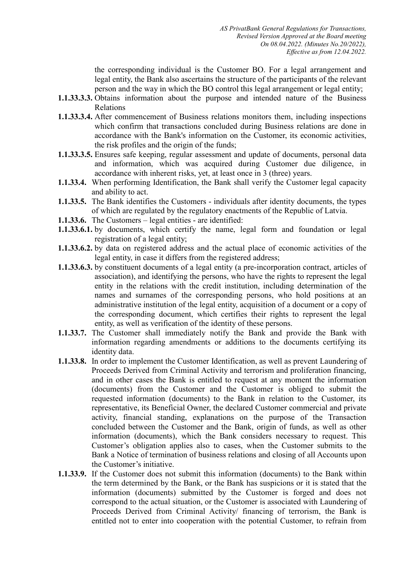the corresponding individual is the Customer BO. For a legal arrangement and legal entity, the Bank also ascertains the structure of the participants of the relevant person and the way in which the BO control this legal arrangement or legal entity;

- **1.1.33.3.3.** Obtains information about the purpose and intended nature of the Business Relations
- **1.1.33.3.4.** After commencement of Business relations monitors them, including inspections which confirm that transactions concluded during Business relations are done in accordance with the Bank's information on the Customer, its economic activities, the risk profiles and the origin of the funds;
- **1.1.33.3.5.** Ensures safe keeping, regular assessment and update of documents, personal data and information, which was acquired during Customer due diligence, in accordance with inherent risks, yet, at least once in 3 (three) years.
- **1.1.33.4.** When performing Identification, the Bank shall verify the Customer legal capacity and ability to act.
- **1.1.33.5.** The Bank identifies the Customers individuals after identity documents, the types of which are regulated by the regulatory enactments of the Republic of Latvia.
- **1.1.33.6.** The Customers legal entities are identified:
- **1.1.33.6.1.** by documents, which certify the name, legal form and foundation or legal registration of a legal entity;
- **1.1.33.6.2.** by data on registered address and the actual place of economic activities of the legal entity, in case it differs from the registered address;
- **1.1.33.6.3.** by constituent documents of a legal entity (a pre-incorporation contract, articles of association), and identifying the persons, who have the rights to represent the legal entity in the relations with the credit institution, including determination of the names and surnames of the corresponding persons, who hold positions at an administrative institution of the legal entity, acquisition of a document or a copy of the corresponding document, which certifies their rights to represent the legal entity, as well as verification of the identity of these persons.
- **1.1.33.7.** The Customer shall immediately notify the Bank and provide the Bank with information regarding amendments or additions to the documents certifying its identity data.
- **1.1.33.8.** In order to implement the Customer Identification, as well as prevent Laundering of Proceeds Derived from Criminal Activity and terrorism and proliferation financing, and in other cases the Bank is entitled to request at any moment the information (documents) from the Customer and the Customer is obliged to submit the requested information (documents) to the Bank in relation to the Customer, its representative, its Beneficial Owner, the declared Customer commercial and private activity, financial standing, explanations on the purpose of the Transaction concluded between the Customer and the Bank, origin of funds, as well as other information (documents), which the Bank considers necessary to request. This Customer's obligation applies also to cases, when the Customer submits to the Bank a Notice of termination of business relations and closing of all Accounts upon the Customer's initiative.
- **1.1.33.9.** If the Customer does not submit this information (documents) to the Bank within the term determined by the Bank, or the Bank has suspicions or it is stated that the information (documents) submitted by the Customer is forged and does not correspond to the actual situation, or the Customer is associated with Laundering of Proceeds Derived from Criminal Activity/ financing of terrorism, the Bank is entitled not to enter into cooperation with the potential Customer, to refrain from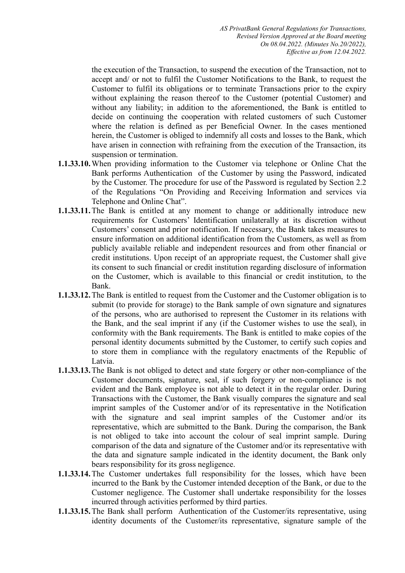the execution of the Transaction, to suspend the execution of the Transaction, not to accept and/ or not to fulfil the Customer Notifications to the Bank, to request the Customer to fulfil its obligations or to terminate Transactions prior to the expiry without explaining the reason thereof to the Customer (potential Customer) and without any liability; in addition to the aforementioned, the Bank is entitled to decide on continuing the cooperation with related customers of such Customer where the relation is defined as per Beneficial Owner. In the cases mentioned herein, the Customer is obliged to indemnify all costs and losses to the Bank, which have arisen in connection with refraining from the execution of the Transaction, its suspension or termination.

- **1.1.33.10.**When providing information to the Customer via telephone or Online Chat the Bank performs Authentication of the Customer by using the Password, indicated by the Customer. The procedure for use of the Password is regulated by Section 2.2 of the Regulations "On Providing and Receiving Information and services via Telephone and Online Chat".
- **1.1.33.11.**The Bank is entitled at any moment to change or additionally introduce new requirements for Customers' Identification unilaterally at its discretion without Customers' consent and prior notification. If necessary, the Bank takes measures to ensure information on additional identification from the Customers, as well as from publicly available reliable and independent resources and from other financial or credit institutions. Upon receipt of an appropriate request, the Customer shall give its consent to such financial or credit institution regarding disclosure of information on the Customer, which is available to this financial or credit institution, to the Bank.
- **1.1.33.12.**The Bank is entitled to request from the Customer and the Customer obligation is to submit (to provide for storage) to the Bank sample of own signature and signatures of the persons, who are authorised to represent the Customer in its relations with the Bank, and the seal imprint if any (if the Customer wishes to use the seal), in conformity with the Bank requirements. The Bank is entitled to make copies of the personal identity documents submitted by the Customer, to certify such copies and to store them in compliance with the regulatory enactments of the Republic of Latvia.
- **1.1.33.13.**The Bank is not obliged to detect and state forgery or other non-compliance of the Customer documents, signature, seal, if such forgery or non-compliance is not evident and the Bank employee is not able to detect it in the regular order. During Transactions with the Customer, the Bank visually compares the signature and seal imprint samples of the Customer and/or of its representative in the Notification with the signature and seal imprint samples of the Customer and/or its representative, which are submitted to the Bank. During the comparison, the Bank is not obliged to take into account the colour of seal imprint sample. During comparison of the data and signature of the Customer and/or its representative with the data and signature sample indicated in the identity document, the Bank only bears responsibility for its gross negligence.
- **1.1.33.14.**The Customer undertakes full responsibility for the losses, which have been incurred to the Bank by the Customer intended deception of the Bank, or due to the Customer negligence. The Customer shall undertake responsibility for the losses incurred through activities performed by third parties.
- **1.1.33.15.**The Bank shall perform Authentication of the Customer/its representative, using identity documents of the Customer/its representative, signature sample of the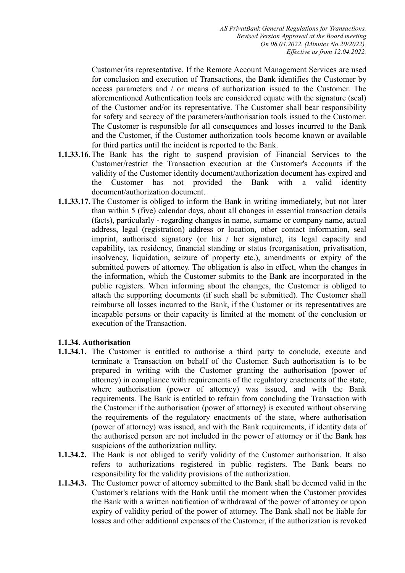Customer/its representative. If the Remote Account Management Services are used for conclusion and execution of Transactions, the Bank identifies the Customer by access parameters and / or means of authorization issued to the Customer. The aforementioned Authentication tools are considered equate with the signature (seal) of the Customer and/or its representative. The Customer shall bear responsibility for safety and secrecy of the parameters/authorisation tools issued to the Customer. The Customer is responsible for all consequences and losses incurred to the Bank and the Customer, if the Customer authorization tools become known or available for third parties until the incident is reported to the Bank.

- **1.1.33.16.**The Bank has the right to suspend provision of Financial Services to the Customer/restrict the Transaction execution at the Customer's Accounts if the validity of the Customer identity document/authorization document has expired and the Customer has not provided the Bank with a valid identity document/authorization document.
- **1.1.33.17.**The Customer is obliged to inform the Bank in writing immediately, but not later than within 5 (five) calendar days, about all changes in essential transaction details (facts), particularly - regarding changes in name, surname or company name, actual address, legal (registration) address or location, other contact information, seal imprint, authorised signatory (or his / her signature), its legal capacity and capability, tax residency, financial standing or status (reorganisation, privatisation, insolvency, liquidation, seizure of property etc.), amendments or expiry of the submitted powers of attorney. The obligation is also in effect, when the changes in the information, which the Customer submits to the Bank are incorporated in the public registers. When informing about the changes, the Customer is obliged to attach the supporting documents (if such shall be submitted). The Customer shall reimburse all losses incurred to the Bank, if the Customer or its representatives are incapable persons or their capacity is limited at the moment of the conclusion or execution of the Transaction.

#### **1.1.34. Authorisation**

- **1.1.34.1.** The Customer is entitled to authorise a third party to conclude, execute and terminate a Transaction on behalf of the Customer. Such authorisation is to be prepared in writing with the Customer granting the authorisation (power of attorney) in compliance with requirements of the regulatory enactments of the state, where authorisation (power of attorney) was issued, and with the Bank requirements. The Bank is entitled to refrain from concluding the Transaction with the Customer if the authorisation (power of attorney) is executed without observing the requirements of the regulatory enactments of the state, where authorisation (power of attorney) was issued, and with the Bank requirements, if identity data of the authorised person are not included in the power of attorney or if the Bank has suspicions of the authorization nullity.
- **1.1.34.2.** The Bank is not obliged to verify validity of the Customer authorisation. It also refers to authorizations registered in public registers. The Bank bears no responsibility for the validity provisions of the authorization.
- **1.1.34.3.** The Customer power of attorney submitted to the Bank shall be deemed valid in the Customer's relations with the Bank until the moment when the Customer provides the Bank with a written notification of withdrawal of the power of attorney or upon expiry of validity period of the power of attorney. The Bank shall not be liable for losses and other additional expenses of the Customer, if the authorization is revoked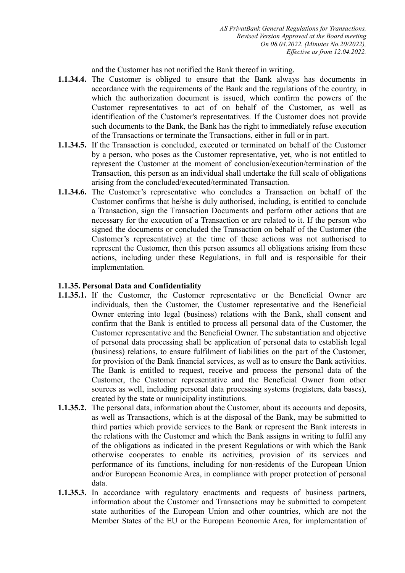and the Customer has not notified the Bank thereof in writing.

- **1.1.34.4.** The Customer is obliged to ensure that the Bank always has documents in accordance with the requirements of the Bank and the regulations of the country, in which the authorization document is issued, which confirm the powers of the Customer representatives to act of on behalf of the Customer, as well as identification of the Customer's representatives. If the Customer does not provide such documents to the Bank, the Bank has the right to immediately refuse execution of the Transactions or terminate the Transactions, either in full or in part.
- **1.1.34.5.** If the Transaction is concluded, executed or terminated on behalf of the Customer by a person, who poses as the Customer representative, yet, who is not entitled to represent the Customer at the moment of conclusion/execution/termination of the Transaction, this person as an individual shall undertake the full scale of obligations arising from the concluded/executed/terminated Transaction.
- **1.1.34.6.** The Customer's representative who concludes a Transaction on behalf of the Customer confirms that he/she is duly authorised, including, is entitled to conclude a Transaction, sign the Transaction Documents and perform other actions that are necessary for the execution of a Transaction or are related to it. If the person who signed the documents or concluded the Transaction on behalf of the Customer (the Customer's representative) at the time of these actions was not authorised to represent the Customer, then this person assumes all obligations arising from these actions, including under these Regulations, in full and is responsible for their implementation.

#### **1.1.35. Personal Data and Confidentiality**

- **1.1.35.1.** If the Customer, the Customer representative or the Beneficial Owner are individuals, then the Customer, the Customer representative and the Beneficial Owner entering into legal (business) relations with the Bank, shall consent and confirm that the Bank is entitled to process all personal data of the Customer, the Customer representative and the Beneficial Owner. The substantiation and objective of personal data processing shall be application of personal data to establish legal (business) relations, to ensure fulfilment of liabilities on the part of the Customer, for provision of the Bank financial services, as well as to ensure the Bank activities. The Bank is entitled to request, receive and process the personal data of the Customer, the Customer representative and the Beneficial Owner from other sources as well, including personal data processing systems (registers, data bases), created by the state or municipality institutions.
- **1.1.35.2.** The personal data, information about the Customer, about its accounts and deposits, as well as Transactions, which is at the disposal of the Bank, may be submitted to third parties which provide services to the Bank or represent the Bank interests in the relations with the Customer and which the Bank assigns in writing to fulfil any of the obligations as indicated in the present Regulations or with which the Bank otherwise cooperates to enable its activities, provision of its services and performance of its functions, including for non-residents of the European Union and/or European Economic Area, in compliance with proper protection of personal data.
- **1.1.35.3.** In accordance with regulatory enactments and requests of business partners, information about the Customer and Transactions may be submitted to competent state authorities of the European Union and other countries, which are not the Member States of the EU or the European Economic Area, for implementation of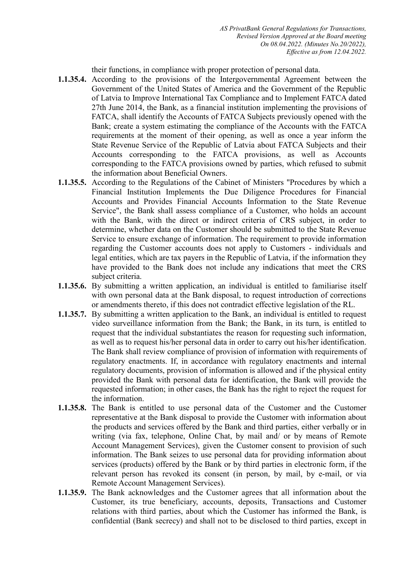their functions, in compliance with proper protection of personal data.

- **1.1.35.4.** According to the provisions of the Intergovernmental Agreement between the Government of the United States of America and the Government of the Republic of Latvia to Improve International Tax Compliance and to Implement FATCA dated 27th June 2014, the Bank, as a financial institution implementing the provisions of FATCA, shall identify the Accounts of FATCA Subjects previously opened with the Bank; create a system estimating the compliance of the Accounts with the FATCA requirements at the moment of their opening, as well as once a year inform the State Revenue Service of the Republic of Latvia about FATCA Subjects and their Accounts corresponding to the FATCA provisions, as well as Accounts corresponding to the FATCA provisions owned by parties, which refused to submit the information about Beneficial Owners.
- **1.1.35.5.** According to the Regulations of the Cabinet of Ministers "Procedures by which a Financial Institution Implements the Due Diligence Procedures for Financial Accounts and Provides Financial Accounts Information to the State Revenue Service", the Bank shall assess compliance of a Customer, who holds an account with the Bank, with the direct or indirect criteria of CRS subject, in order to determine, whether data on the Customer should be submitted to the State Revenue Service to ensure exchange of information. The requirement to provide information regarding the Customer accounts does not apply to Customers - individuals and legal entities, which are tax payers in the Republic of Latvia, if the information they have provided to the Bank does not include any indications that meet the CRS subject criteria.
- **1.1.35.6.** By submitting a written application, an individual is entitled to familiarise itself with own personal data at the Bank disposal, to request introduction of corrections or amendments thereto, if this does not contradict effective legislation of the RL.
- **1.1.35.7.** By submitting a written application to the Bank, an individual is entitled to request video surveillance information from the Bank; the Bank, in its turn, is entitled to request that the individual substantiates the reason for requesting such information, as well as to request his/her personal data in order to carry out his/her identification. The Bank shall review compliance of provision of information with requirements of regulatory enactments. If, in accordance with regulatory enactments and internal regulatory documents, provision of information is allowed and if the physical entity provided the Bank with personal data for identification, the Bank will provide the requested information; in other cases, the Bank has the right to reject the request for the information.
- **1.1.35.8.** The Bank is entitled to use personal data of the Customer and the Customer representative at the Bank disposal to provide the Customer with information about the products and services offered by the Bank and third parties, either verbally or in writing (via fax, telephone, Online Chat, by mail and/ or by means of Remote Account Management Services), given the Customer consent to provision of such information. The Bank seizes to use personal data for providing information about services (products) offered by the Bank or by third parties in electronic form, if the relevant person has revoked its consent (in person, by mail, by e-mail, or via Remote Account Management Services).
- **1.1.35.9.** The Bank acknowledges and the Customer agrees that all information about the Customer, its true beneficiary, accounts, deposits, Transactions and Customer relations with third parties, about which the Customer has informed the Bank, is confidential (Bank secrecy) and shall not to be disclosed to third parties, except in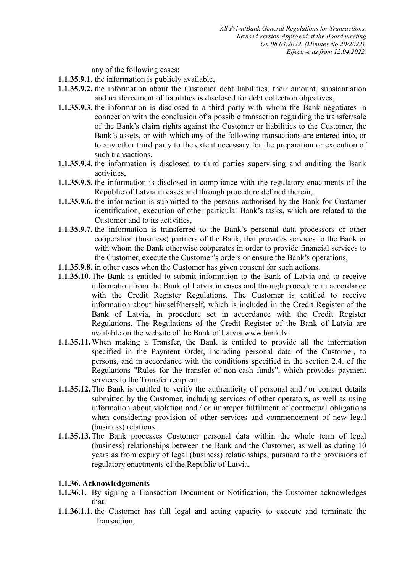any of the following cases:

- **1.1.35.9.1.** the information is publicly available,
- **1.1.35.9.2.** the information about the Customer debt liabilities, their amount, substantiation and reinforcement of liabilities is disclosed for debt collection objectives,
- **1.1.35.9.3.** the information is disclosed to a third party with whom the Bank negotiates in connection with the conclusion of a possible transaction regarding the transfer/sale of the Bank's claim rights against the Customer or liabilities to the Customer, the Bank's assets, or with which any of the following transactions are entered into, or to any other third party to the extent necessary for the preparation or execution of such transactions,
- **1.1.35.9.4.** the information is disclosed to third parties supervising and auditing the Bank activities,
- **1.1.35.9.5.** the information is disclosed in compliance with the regulatory enactments of the Republic of Latvia in cases and through procedure defined therein,
- **1.1.35.9.6.** the information is submitted to the persons authorised by the Bank for Customer identification, execution of other particular Bank's tasks, which are related to the Customer and to its activities,
- **1.1.35.9.7.** the information is transferred to the Bank's personal data processors or other cooperation (business) partners of the Bank, that provides services to the Bank or with whom the Bank otherwise cooperates in order to provide financial services to the Customer, execute the Customer's orders or ensure the Bank's operations,
- **1.1.35.9.8.** in other cases when the Customer has given consent for such actions.
- **1.1.35.10.**The Bank is entitled to submit information to the Bank of Latvia and to receive information from the Bank of Latvia in cases and through procedure in accordance with the Credit Register Regulations. The Customer is entitled to receive information about himself/herself, which is included in the Credit Register of the Bank of Latvia, in procedure set in accordance with the Credit Register Regulations. The Regulations of the Credit Register of the Bank of Latvia are available on the website of the Bank of Latvia www.bank.lv.
- **1.1.35.11.**When making a Transfer, the Bank is entitled to provide all the information specified in the Payment Order, including personal data of the Customer, to persons, and in accordance with the conditions specified in the section 2.4. of the Regulations "Rules for the transfer of non-cash funds", which provides payment services to the Transfer recipient.
- **1.1.35.12.**The Bank is entitled to verify the authenticity of personal and / or contact details submitted by the Customer, including services of other operators, as well as using information about violation and / or improper fulfilment of contractual obligations when considering provision of other services and commencement of new legal (business) relations.
- **1.1.35.13.**The Bank processes Customer personal data within the whole term of legal (business) relationships between the Bank and the Customer, as well as during 10 years as from expiry of legal (business) relationships, pursuant to the provisions of regulatory enactments of the Republic of Latvia.

# **1.1.36. Acknowledgements**

- **1.1.36.1.** By signing a Transaction Document or Notification, the Customer acknowledges that:
- **1.1.36.1.1.** the Customer has full legal and acting capacity to execute and terminate the Transaction;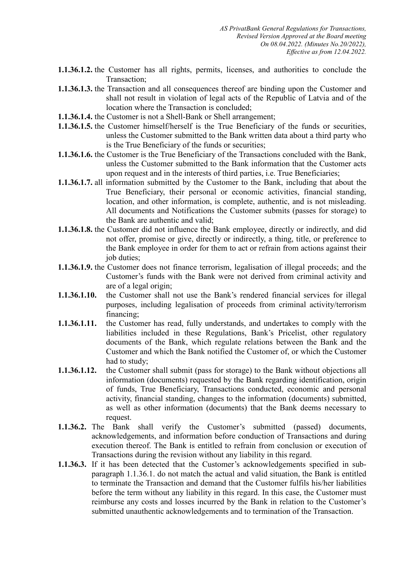- **1.1.36.1.2.** the Customer has all rights, permits, licenses, and authorities to conclude the Transaction;
- **1.1.36.1.3.** the Transaction and all consequences thereof are binding upon the Customer and shall not result in violation of legal acts of the Republic of Latvia and of the location where the Transaction is concluded;
- **1.1.36.1.4.** the Customer is not a Shell-Bank or Shell arrangement;
- **1.1.36.1.5.** the Customer himself/herself is the True Beneficiary of the funds or securities, unless the Customer submitted to the Bank written data about a third party who is the True Beneficiary of the funds or securities;
- **1.1.36.1.6.** the Customer is the True Beneficiary of the Transactions concluded with the Bank, unless the Customer submitted to the Bank information that the Customer acts upon request and in the interests of third parties, i.e. True Beneficiaries;
- **1.1.36.1.7.** all information submitted by the Customer to the Bank, including that about the True Beneficiary, their personal or economic activities, financial standing, location, and other information, is complete, authentic, and is not misleading. All documents and Notifications the Customer submits (passes for storage) to the Bank are authentic and valid;
- **1.1.36.1.8.** the Customer did not influence the Bank employee, directly or indirectly, and did not offer, promise or give, directly or indirectly, a thing, title, or preference to the Bank employee in order for them to act or refrain from actions against their job duties:
- **1.1.36.1.9.** the Customer does not finance terrorism, legalisation of illegal proceeds; and the Customer's funds with the Bank were not derived from criminal activity and are of a legal origin;
- **1.1.36.1.10.** the Customer shall not use the Bank's rendered financial services for illegal purposes, including legalisation of proceeds from criminal activity/terrorism financing;
- **1.1.36.1.11.** the Customer has read, fully understands, and undertakes to comply with the liabilities included in these Regulations, Bank's Pricelist, other regulatory documents of the Bank, which regulate relations between the Bank and the Customer and which the Bank notified the Customer of, or which the Customer had to study;
- **1.1.36.1.12.** the Customer shall submit (pass for storage) to the Bank without objections all information (documents) requested by the Bank regarding identification, origin of funds, True Beneficiary, Transactions conducted, economic and personal activity, financial standing, changes to the information (documents) submitted, as well as other information (documents) that the Bank deems necessary to request.
- **1.1.36.2.** The Bank shall verify the Customer's submitted (passed) documents, acknowledgements, and information before conduction of Transactions and during execution thereof. The Bank is entitled to refrain from conclusion or execution of Transactions during the revision without any liability in this regard.
- **1.1.36.3.** If it has been detected that the Customer's acknowledgements specified in subparagraph 1.1.36.1. do not match the actual and valid situation, the Bank is entitled to terminate the Transaction and demand that the Customer fulfils his/her liabilities before the term without any liability in this regard. In this case, the Customer must reimburse any costs and losses incurred by the Bank in relation to the Customer's submitted unauthentic acknowledgements and to termination of the Transaction.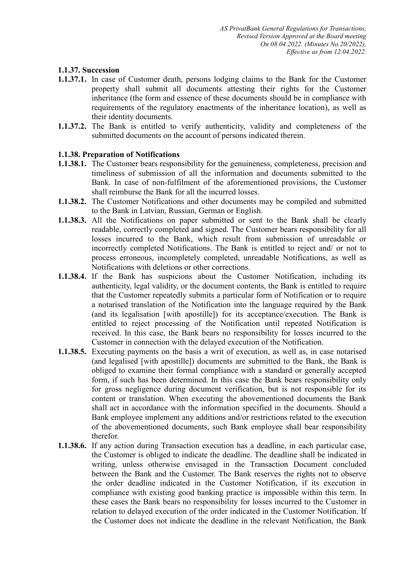## **1.1.37. Succession**

- **1.1.37.1.** In case of Customer death, persons lodging claims to the Bank for the Customer property shall submit all documents attesting their rights for the Customer inheritance (the form and essence of these documents should be in compliance with requirements of the regulatory enactments of the inheritance location), as well as their identity documents.
- **1.1.37.2.** The Bank is entitled to verify authenticity, validity and completeness of the submitted documents on the account of persons indicated therein.

## **1.1.38. Preparation of Notifications**

- **1.1.38.1.** The Customer bears responsibility for the genuineness, completeness, precision and timeliness of submission of all the information and documents submitted to the Bank. In case of non-fulfilment of the aforementioned provisions, the Customer shall reimburse the Bank for all the incurred losses.
- **1.1.38.2.** The Customer Notifications and other documents may be compiled and submitted to the Bank in Latvian, Russian, German or English.
- **1.1.38.3.** All the Notifications on paper submitted or sent to the Bank shall be clearly readable, correctly completed and signed. The Customer bears responsibility for all losses incurred to the Bank, which result from submission of unreadable or incorrectly completed Notifications. The Bank is entitled to reject and/ or not to process erroneous, incompletely completed, unreadable Notifications, as well as Notifications with deletions or other corrections.
- **1.1.38.4.** If the Bank has suspicions about the Customer Notification, including its authenticity, legal validity, or the document contents, the Bank is entitled to require that the Customer repeatedly submits a particular form of Notification or to require a notarised translation of the Notification into the language required by the Bank (and its legalisation [with apostille]) for its acceptance/execution. The Bank is entitled to reject processing of the Notification until repeated Notification is received. In this case, the Bank bears no responsibility for losses incurred to the Customer in connection with the delayed execution of the Notification.
- **1.1.38.5.** Executing payments on the basis a writ of execution, as well as, in case notarised (and legalised [with apostille]) documents are submitted to the Bank, the Bank is obliged to examine their formal compliance with a standard or generally accepted form, if such has been determined. In this case the Bank bears responsibility only for gross negligence during document verification, but is not responsible for its content or translation. When executing the abovementioned documents the Bank shall act in accordance with the information specified in the documents. Should a Bank employee implement any additions and/or restrictions related to the execution of the abovementioned documents, such Bank employee shall bear responsibility therefor.
- **1.1.38.6.** If any action during Transaction execution has a deadline, in each particular case, the Customer is obliged to indicate the deadline. The deadline shall be indicated in writing, unless otherwise envisaged in the Transaction Document concluded between the Bank and the Customer. The Bank reserves the rights not to observe the order deadline indicated in the Customer Notification, if its execution in compliance with existing good banking practice is impossible within this term. In these cases the Bank bears no responsibility for losses incurred to the Customer in relation to delayed execution of the order indicated in the Customer Notification. If the Customer does not indicate the deadline in the relevant Notification, the Bank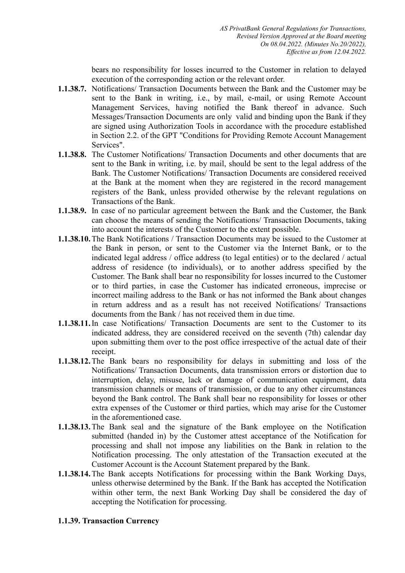bears no responsibility for losses incurred to the Customer in relation to delayed execution of the corresponding action or the relevant order.

- **1.1.38.7.** Notifications/ Transaction Documents between the Bank and the Customer may be sent to the Bank in writing, i.e., by mail, e-mail, or using Remote Account Management Services, having notified the Bank thereof in advance. Such Messages/Transaction Documents are only valid and binding upon the Bank if they are signed using Authorization Tools in accordance with the procedure established in Section 2.2. of the GPT "Conditions for Providing Remote Account Management Services".
- **1.1.38.8.** The Customer Notifications/ Transaction Documents and other documents that are sent to the Bank in writing, i.e. by mail, should be sent to the legal address of the Bank. The Customer Notifications/ Transaction Documents are considered received at the Bank at the moment when they are registered in the record management registers of the Bank, unless provided otherwise by the relevant regulations on Transactions of the Bank.
- **1.1.38.9.** In case of no particular agreement between the Bank and the Customer, the Bank can choose the means of sending the Notifications/ Transaction Documents, taking into account the interests of the Customer to the extent possible.
- **1.1.38.10.**The Bank Notifications / Transaction Documents may be issued to the Customer at the Bank in person, or sent to the Customer via the Internet Bank, or to the indicated legal address / office address (to legal entities) or to the declared / actual address of residence (to individuals), or to another address specified by the Customer. The Bank shall bear no responsibility for losses incurred to the Customer or to third parties, in case the Customer has indicated erroneous, imprecise or incorrect mailing address to the Bank or has not informed the Bank about changes in return address and as a result has not received Notifications/ Transactions documents from the Bank / has not received them in due time.
- **1.1.38.11.**In case Notifications/ Transaction Documents are sent to the Customer to its indicated address, they are considered received on the seventh (7th) calendar day upon submitting them over to the post office irrespective of the actual date of their receipt.
- **1.1.38.12.**The Bank bears no responsibility for delays in submitting and loss of the Notifications/ Transaction Documents, data transmission errors or distortion due to interruption, delay, misuse, lack or damage of communication equipment, data transmission channels or means of transmission, or due to any other circumstances beyond the Bank control. The Bank shall bear no responsibility for losses or other extra expenses of the Customer or third parties, which may arise for the Customer in the aforementioned case.
- **1.1.38.13.**The Bank seal and the signature of the Bank employee on the Notification submitted (handed in) by the Customer attest acceptance of the Notification for processing and shall not impose any liabilities on the Bank in relation to the Notification processing. The only attestation of the Transaction executed at the Customer Account is the Account Statement prepared by the Bank.
- **1.1.38.14.**The Bank accepts Notifications for processing within the Bank Working Days, unless otherwise determined by the Bank. If the Bank has accepted the Notification within other term, the next Bank Working Day shall be considered the day of accepting the Notification for processing.

# **1.1.39. Transaction Currency**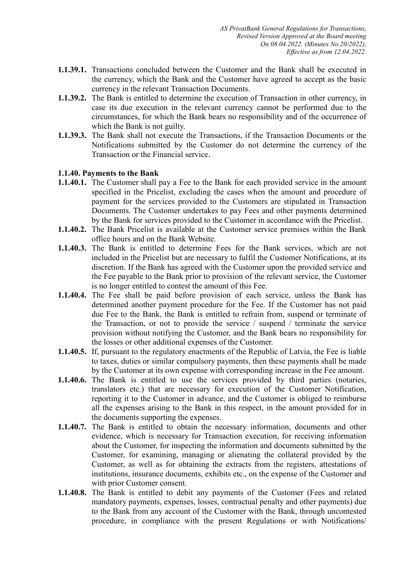- **1.1.39.1.** Transactions concluded between the Customer and the Bank shall be executed in the currency, which the Bank and the Customer have agreed to accept as the basic currency in the relevant Transaction Documents.
- **1.1.39.2.** The Bank is entitled to determine the execution of Transaction in other currency, in case its due execution in the relevant currency cannot be performed due to the circumstances, for which the Bank bears no responsibility and of the occurrence of which the Bank is not guilty.
- **1.1.39.3.** The Bank shall not execute the Transactions, if the Transaction Documents or the Notifications submitted by the Customer do not determine the currency of the Transaction or the Financial service.

## **1.1.40. Payments to the Bank**

- **1.1.40.1.** The Customer shall pay a Fee to the Bank for each provided service in the amount specified in the Pricelist, excluding the cases when the amount and procedure of payment for the services provided to the Customers are stipulated in Transaction Documents. The Customer undertakes to pay Fees and other payments determined by the Bank for services provided to the Customer in accordance with the Pricelist.
- **1.1.40.2.** The Bank Pricelist is available at the Customer service premises within the Bank office hours and on the Bank Website.
- **1.1.40.3.** The Bank is entitled to determine Fees for the Bank services, which are not included in the Pricelist but are necessary to fulfil the Customer Notifications, at its discretion. If the Bank has agreed with the Customer upon the provided service and the Fee payable to the Bank prior to provision of the relevant service, the Customer is no longer entitled to contest the amount of this Fee.
- **1.1.40.4.** The Fee shall be paid before provision of each service, unless the Bank has determined another payment procedure for the Fee. If the Customer has not paid due Fee to the Bank, the Bank is entitled to refrain from, suspend or terminate of the Transaction, or not to provide the service / suspend / terminate the service provision without notifying the Customer, and the Bank bears no responsibility for the losses or other additional expenses of the Customer.
- **1.1.40.5.** If, pursuant to the regulatory enactments of the Republic of Latvia, the Fee is liable to taxes, duties or similar compulsory payments, then these payments shall be made by the Customer at its own expense with corresponding increase in the Fee amount.
- **1.1.40.6.** The Bank is entitled to use the services provided by third parties (notaries, translators etc.) that are necessary for execution of the Customer Notification, reporting it to the Customer in advance, and the Customer is obliged to reimburse all the expenses arising to the Bank in this respect, in the amount provided for in the documents supporting the expenses.
- **1.1.40.7.** The Bank is entitled to obtain the necessary information, documents and other evidence, which is necessary for Transaction execution, for receiving information about the Customer, for inspecting the information and documents submitted by the Customer, for examining, managing or alienating the collateral provided by the Customer, as well as for obtaining the extracts from the registers, attestations of institutions, insurance documents, exhibits etc., on the expense of the Customer and with prior Customer consent.
- **1.1.40.8.** The Bank is entitled to debit any payments of the Customer (Fees and related mandatory payments, expenses, losses, contractual penalty and other payments) due to the Bank from any account of the Customer with the Bank, through uncontested procedure, in compliance with the present Regulations or with Notifications/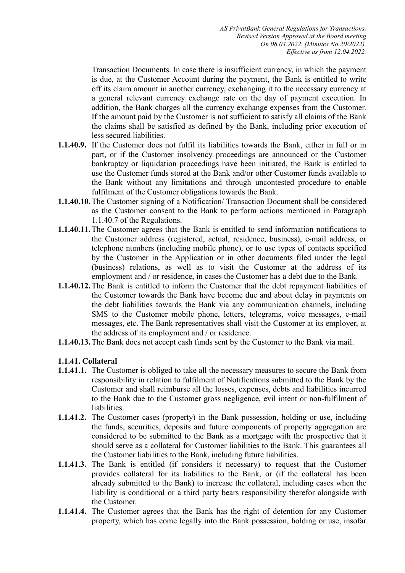Transaction Documents. In case there is insufficient currency, in which the payment is due, at the Customer Account during the payment, the Bank is entitled to write off its claim amount in another currency, exchanging it to the necessary currency at a general relevant currency exchange rate on the day of payment execution. In addition, the Bank charges all the currency exchange expenses from the Customer. If the amount paid by the Customer is not sufficient to satisfy all claims of the Bank the claims shall be satisfied as defined by the Bank, including prior execution of less secured liabilities.

- **1.1.40.9.** If the Customer does not fulfil its liabilities towards the Bank, either in full or in part, or if the Customer insolvency proceedings are announced or the Customer bankruptcy or liquidation proceedings have been initiated, the Bank is entitled to use the Customer funds stored at the Bank and/or other Customer funds available to the Bank without any limitations and through uncontested procedure to enable fulfilment of the Customer obligations towards the Bank.
- **1.1.40.10.**The Customer signing of a Notification/ Transaction Document shall be considered as the Customer consent to the Bank to perform actions mentioned in Paragraph 1.1.40.7 of the Regulations.
- **1.1.40.11.**The Customer agrees that the Bank is entitled to send information notifications to the Customer address (registered, actual, residence, business), e-mail address, or telephone numbers (including mobile phone), or to use types of contacts specified by the Customer in the Application or in other documents filed under the legal (business) relations, as well as to visit the Customer at the address of its employment and / or residence, in cases the Customer has a debt due to the Bank.
- **1.1.40.12.**The Bank is entitled to inform the Customer that the debt repayment liabilities of the Customer towards the Bank have become due and about delay in payments on the debt liabilities towards the Bank via any communication channels, including SMS to the Customer mobile phone, letters, telegrams, voice messages, e-mail messages, etc. The Bank representatives shall visit the Customer at its employer, at the address of its employment and / or residence.
- **1.1.40.13.**The Bank does not accept cash funds sent by the Customer to the Bank via mail.

# **1.1.41. Collateral**

- **1.1.41.1.** The Customer is obliged to take all the necessary measures to secure the Bank from responsibility in relation to fulfilment of Notifications submitted to the Bank by the Customer and shall reimburse all the losses, expenses, debts and liabilities incurred to the Bank due to the Customer gross negligence, evil intent or non-fulfilment of liabilities.
- **1.1.41.2.** The Customer cases (property) in the Bank possession, holding or use, including the funds, securities, deposits and future components of property aggregation are considered to be submitted to the Bank as a mortgage with the prospective that it should serve as a collateral for Customer liabilities to the Bank. This guarantees all the Customer liabilities to the Bank, including future liabilities.
- **1.1.41.3.** The Bank is entitled (if considers it necessary) to request that the Customer provides collateral for its liabilities to the Bank, or (if the collateral has been already submitted to the Bank) to increase the collateral, including cases when the liability is conditional or a third party bears responsibility therefor alongside with the Customer.
- **1.1.41.4.** The Customer agrees that the Bank has the right of detention for any Customer property, which has come legally into the Bank possession, holding or use, insofar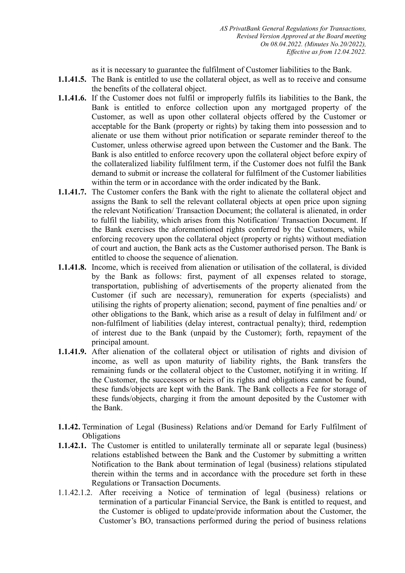as it is necessary to guarantee the fulfilment of Customer liabilities to the Bank.

- **1.1.41.5.** The Bank is entitled to use the collateral object, as well as to receive and consume the benefits of the collateral object.
- **1.1.41.6.** If the Customer does not fulfil or improperly fulfils its liabilities to the Bank, the Bank is entitled to enforce collection upon any mortgaged property of the Customer, as well as upon other collateral objects offered by the Customer or acceptable for the Bank (property or rights) by taking them into possession and to alienate or use them without prior notification or separate reminder thereof to the Customer, unless otherwise agreed upon between the Customer and the Bank. The Bank is also entitled to enforce recovery upon the collateral object before expiry of the collateralized liability fulfilment term, if the Customer does not fulfil the Bank demand to submit or increase the collateral for fulfilment of the Customer liabilities within the term or in accordance with the order indicated by the Bank.
- **1.1.41.7.** The Customer confers the Bank with the right to alienate the collateral object and assigns the Bank to sell the relevant collateral objects at open price upon signing the relevant Notification/ Transaction Document; the collateral is alienated, in order to fulfil the liability, which arises from this Notification/ Transaction Document. If the Bank exercises the aforementioned rights conferred by the Customers, while enforcing recovery upon the collateral object (property or rights) without mediation of court and auction, the Bank acts as the Customer authorised person. The Bank is entitled to choose the sequence of alienation.
- **1.1.41.8.** Income, which is received from alienation or utilisation of the collateral, is divided by the Bank as follows: first, payment of all expenses related to storage, transportation, publishing of advertisements of the property alienated from the Customer (if such are necessary), remuneration for experts (specialists) and utilising the rights of property alienation; second, payment of fine penalties and/ or other obligations to the Bank, which arise as a result of delay in fulfilment and/ or non-fulfilment of liabilities (delay interest, contractual penalty); third, redemption of interest due to the Bank (unpaid by the Customer); forth, repayment of the principal amount.
- **1.1.41.9.** After alienation of the collateral object or utilisation of rights and division of income, as well as upon maturity of liability rights, the Bank transfers the remaining funds or the collateral object to the Customer, notifying it in writing. If the Customer, the successors or heirs of its rights and obligations cannot be found, these funds/objects are kept with the Bank. The Bank collects a Fee for storage of these funds/objects, charging it from the amount deposited by the Customer with the Bank.
- **1.1.42.** Termination of Legal (Business) Relations and/or Demand for Early Fulfilment of **Obligations**
- **1.1.42.1.** The Customer is entitled to unilaterally terminate all or separate legal (business) relations established between the Bank and the Customer by submitting a written Notification to the Bank about termination of legal (business) relations stipulated therein within the terms and in accordance with the procedure set forth in these Regulations or Transaction Documents.
- 1.1.42.1.2. After receiving a Notice of termination of legal (business) relations or termination of a particular Financial Service, the Bank is entitled to request, and the Customer is obliged to update/provide information about the Customer, the Customer's BO, transactions performed during the period of business relations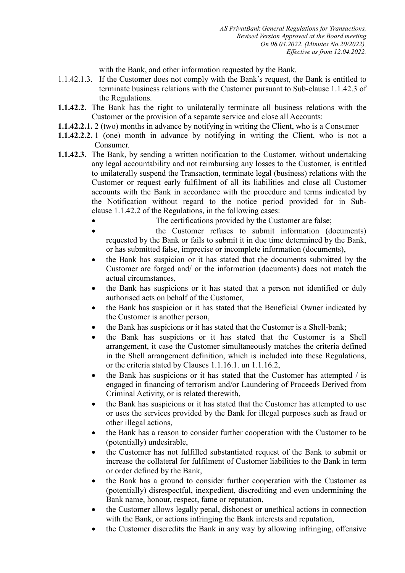with the Bank, and other information requested by the Bank.

- 1.1.42.1.3. If the Customer does not comply with the Bank's request, the Bank is entitled to terminate business relations with the Customer pursuant to Sub-clause 1.1.42.3 of the Regulations.
- **1.1.42.2.** The Bank has the right to unilaterally terminate all business relations with the Customer or the provision of a separate service and close all Accounts:
- **1.1.42.2.1.** 2 (two) months in advance by notifying in writing the Client, who is a Consumer
- **1.1.42.2.2.** 1 (one) month in advance by notifying in writing the Client, who is not a Consumer.
- **1.1.42.3.** The Bank, by sending a written notification to the Customer, without undertaking any legal accountability and not reimbursing any losses to the Customer, is entitled to unilaterally suspend the Transaction, terminate legal (business) relations with the Customer or request early fulfilment of all its liabilities and close all Customer accounts with the Bank in accordance with the procedure and terms indicated by the Notification without regard to the notice period provided for in Subclause 1.1.42.2 of the Regulations, in the following cases:
	- The certifications provided by the Customer are false;
	- the Customer refuses to submit information (documents) requested by the Bank or fails to submit it in due time determined by the Bank, or has submitted false, imprecise or incomplete information (documents),
	- the Bank has suspicion or it has stated that the documents submitted by the Customer are forged and/ or the information (documents) does not match the actual circumstances,
	- the Bank has suspicions or it has stated that a person not identified or duly authorised acts on behalf of the Customer,
	- the Bank has suspicion or it has stated that the Beneficial Owner indicated by the Customer is another person,
	- the Bank has suspicions or it has stated that the Customer is a Shell-bank;
	- the Bank has suspicions or it has stated that the Customer is a Shell arrangement, it case the Customer simultaneously matches the criteria defined in the Shell arrangement definition, which is included into these Regulations, or the criteria stated by Clauses 1.1.16.1. un 1.1.16.2,
	- the Bank has suspicions or it has stated that the Customer has attempted / is engaged in financing of terrorism and/or Laundering of Proceeds Derived from Criminal Activity, or is related therewith,
	- the Bank has suspicions or it has stated that the Customer has attempted to use or uses the services provided by the Bank for illegal purposes such as fraud or other illegal actions,
	- the Bank has a reason to consider further cooperation with the Customer to be (potentially) undesirable,
	- the Customer has not fulfilled substantiated request of the Bank to submit or increase the collateral for fulfilment of Customer liabilities to the Bank in term or order defined by the Bank,
	- the Bank has a ground to consider further cooperation with the Customer as (potentially) disrespectful, inexpedient, discrediting and even undermining the Bank name, honour, respect, fame or reputation,
	- the Customer allows legally penal, dishonest or unethical actions in connection with the Bank, or actions infringing the Bank interests and reputation,
	- the Customer discredits the Bank in any way by allowing infringing, offensive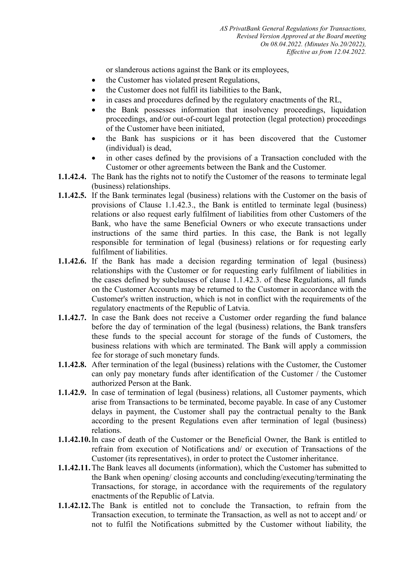or slanderous actions against the Bank or its employees,

- the Customer has violated present Regulations,
- the Customer does not fulfil its liabilities to the Bank,
- in cases and procedures defined by the regulatory enactments of the RL,
- the Bank possesses information that insolvency proceedings, liquidation proceedings, and/or out-of-court legal protection (legal protection) proceedings of the Customer have been initiated,
- the Bank has suspicions or it has been discovered that the Customer (individual) is dead,
- in other cases defined by the provisions of a Transaction concluded with the Customer or other agreements between the Bank and the Customer.
- **1.1.42.4.** The Bank has the rights not to notify the Customer of the reasons to terminate legal (business) relationships.
- **1.1.42.5.** If the Bank terminates legal (business) relations with the Customer on the basis of provisions of Clause 1.1.42.3., the Bank is entitled to terminate legal (business) relations or also request early fulfilment of liabilities from other Customers of the Bank, who have the same Beneficial Owners or who execute transactions under instructions of the same third parties. In this case, the Bank is not legally responsible for termination of legal (business) relations or for requesting early fulfilment of liabilities.
- **1.1.42.6.** If the Bank has made a decision regarding termination of legal (business) relationships with the Customer or for requesting early fulfilment of liabilities in the cases defined by subclauses of clause 1.1.42.3. of these Regulations, all funds on the Customer Accounts may be returned to the Customer in accordance with the Customer's written instruction, which is not in conflict with the requirements of the regulatory enactments of the Republic of Latvia.
- **1.1.42.7.** In case the Bank does not receive a Customer order regarding the fund balance before the day of termination of the legal (business) relations, the Bank transfers these funds to the special account for storage of the funds of Customers, the business relations with which are terminated. The Bank will apply a commission fee for storage of such monetary funds.
- **1.1.42.8.** After termination of the legal (business) relations with the Customer, the Customer can only pay monetary funds after identification of the Customer / the Customer authorized Person at the Bank.
- **1.1.42.9.** In case of termination of legal (business) relations, all Customer payments, which arise from Transactions to be terminated, become payable. In case of any Customer delays in payment, the Customer shall pay the contractual penalty to the Bank according to the present Regulations even after termination of legal (business) relations.
- **1.1.42.10.**In case of death of the Customer or the Beneficial Owner, the Bank is entitled to refrain from execution of Notifications and/ or execution of Transactions of the Customer (its representatives), in order to protect the Customer inheritance.
- **1.1.42.11.**The Bank leaves all documents (information), which the Customer has submitted to the Bank when opening/ closing accounts and concluding/executing/terminating the Transactions, for storage, in accordance with the requirements of the regulatory enactments of the Republic of Latvia.
- **1.1.42.12.**The Bank is entitled not to conclude the Transaction, to refrain from the Transaction execution, to terminate the Transaction, as well as not to accept and/ or not to fulfil the Notifications submitted by the Customer without liability, the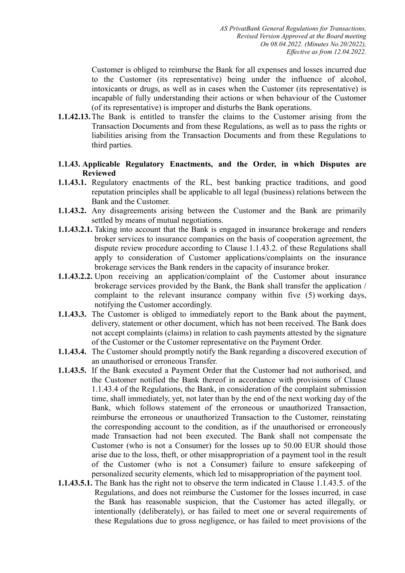Customer is obliged to reimburse the Bank for all expenses and losses incurred due to the Customer (its representative) being under the influence of alcohol, intoxicants or drugs, as well as in cases when the Customer (its representative) is incapable of fully understanding their actions or when behaviour of the Customer (of its representative) is improper and disturbs the Bank operations.

- **1.1.42.13.**The Bank is entitled to transfer the claims to the Customer arising from the Transaction Documents and from these Regulations, as well as to pass the rights or liabilities arising from the Transaction Documents and from these Regulations to third parties.
- **1.1.43. Applicable Regulatory Enactments, and the Order, in which Disputes are Reviewed**
- **1.1.43.1.** Regulatory enactments of the RL, best banking practice traditions, and good reputation principles shall be applicable to all legal (business) relations between the Bank and the Customer.
- **1.1.43.2.** Any disagreements arising between the Customer and the Bank are primarily settled by means of mutual negotiations.
- **1.1.43.2.1.** Taking into account that the Bank is engaged in insurance brokerage and renders broker services to insurance companies on the basis of cooperation agreement, the dispute review procedure according to Clause 1.1.43.2. of these Regulations shall apply to consideration of Customer applications/complaints on the insurance brokerage services the Bank renders in the capacity of insurance broker.
- **1.1.43.2.2.** Upon receiving an application/complaint of the Customer about insurance brokerage services provided by the Bank, the Bank shall transfer the application / complaint to the relevant insurance company within five (5) working days, notifying the Customer accordingly.
- **1.1.43.3.** The Customer is obliged to immediately report to the Bank about the payment, delivery, statement or other document, which has not been received. The Bank does not accept complaints (claims) in relation to cash payments attested by the signature of the Customer or the Customer representative on the Payment Order.
- **1.1.43.4.** The Customer should promptly notify the Bank regarding a discovered execution of an unauthorised or erroneous Transfer.
- **1.1.43.5.** If the Bank executed a Payment Order that the Customer had not authorised, and the Customer notified the Bank thereof in accordance with provisions of Clause 1.1.43.4 of the Regulations, the Bank, in consideration of the complaint submission time, shall immediately, yet, not later than by the end of the next working day of the Bank, which follows statement of the erroneous or unauthorized Transaction, reimburse the erroneous or unauthorized Transaction to the Customer, reinstating the corresponding account to the condition, as if the unauthorised or erroneously made Transaction had not been executed. The Bank shall not compensate the Customer (who is not a Consumer) for the losses up to 50.00 EUR should those arise due to the loss, theft, or other misappropriation of a payment tool in the result of the Customer (who is not a Consumer) failure to ensure safekeeping of personalized security elements, which led to misappropriation of the payment tool.
- **1.1.43.5.1.** The Bank has the right not to observe the term indicated in Clause 1.1.43.5. of the Regulations, and does not reimburse the Customer for the losses incurred, in case the Bank has reasonable suspicion, that the Customer has acted illegally, or intentionally (deliberately), or has failed to meet one or several requirements of these Regulations due to gross negligence, or has failed to meet provisions of the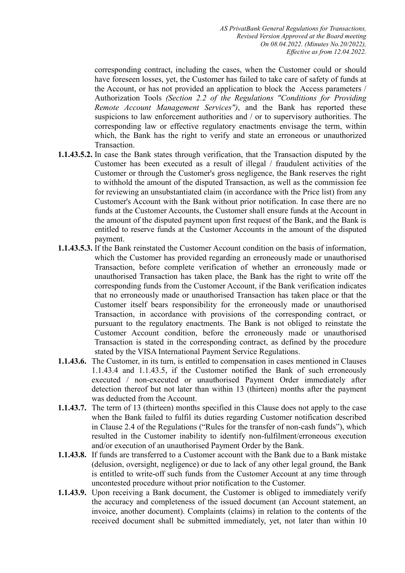*AS PrivatBank General Regulations for Transactions, Revised Version Approved at the Board meeting On 08.04.2022. (Minutes No.20/2022), Effective as from 12.04.2022.* 

corresponding contract, including the cases, when the Customer could or should have foreseen losses, yet, the Customer has failed to take care of safety of funds at the Account, or has not provided an application to block the Access parameters / Authorization Tools *(Section 2.2 of the Regulations "Conditions for Providing Remote Account Management Services")*, and the Bank has reported these suspicions to law enforcement authorities and / or to supervisory authorities. The corresponding law or effective regulatory enactments envisage the term, within which, the Bank has the right to verify and state an erroneous or unauthorized Transaction.

- **1.1.43.5.2.** In case the Bank states through verification, that the Transaction disputed by the Customer has been executed as a result of illegal / fraudulent activities of the Customer or through the Customer's gross negligence, the Bank reserves the right to withhold the amount of the disputed Transaction, as well as the commission fee for reviewing an unsubstantiated claim (in accordance with the Price list) from any Customer's Account with the Bank without prior notification. In case there are no funds at the Customer Accounts, the Customer shall ensure funds at the Account in the amount of the disputed payment upon first request of the Bank, and the Bank is entitled to reserve funds at the Customer Accounts in the amount of the disputed payment.
- **1.1.43.5.3.** If the Bank reinstated the Customer Account condition on the basis of information, which the Customer has provided regarding an erroneously made or unauthorised Transaction, before complete verification of whether an erroneously made or unauthorised Transaction has taken place, the Bank has the right to write off the corresponding funds from the Customer Account, if the Bank verification indicates that no erroneously made or unauthorised Transaction has taken place or that the Customer itself bears responsibility for the erroneously made or unauthorised Transaction, in accordance with provisions of the corresponding contract, or pursuant to the regulatory enactments. The Bank is not obliged to reinstate the Customer Account condition, before the erroneously made or unauthorised Transaction is stated in the corresponding contract, as defined by the procedure stated by the VISA International Payment Service Regulations.
- **1.1.43.6.** The Customer, in its turn, is entitled to compensation in cases mentioned in Clauses 1.1.43.4 and 1.1.43.5, if the Customer notified the Bank of such erroneously executed / non-executed or unauthorised Payment Order immediately after detection thereof but not later than within 13 (thirteen) months after the payment was deducted from the Account.
- **1.1.43.7.** The term of 13 (thirteen) months specified in this Clause does not apply to the case when the Bank failed to fulfil its duties regarding Customer notification described in Clause 2.4 of the Regulations ("Rules for the transfer of non-cash funds"), which resulted in the Customer inability to identify non-fulfilment/erroneous execution and/or execution of an unauthorised Payment Order by the Bank.
- **1.1.43.8.** If funds are transferred to a Customer account with the Bank due to a Bank mistake (delusion, oversight, negligence) or due to lack of any other legal ground, the Bank is entitled to write-off such funds from the Customer Account at any time through uncontested procedure without prior notification to the Customer.
- **1.1.43.9.** Upon receiving a Bank document, the Customer is obliged to immediately verify the accuracy and completeness of the issued document (an Account statement, an invoice, another document). Complaints (claims) in relation to the contents of the received document shall be submitted immediately, yet, not later than within 10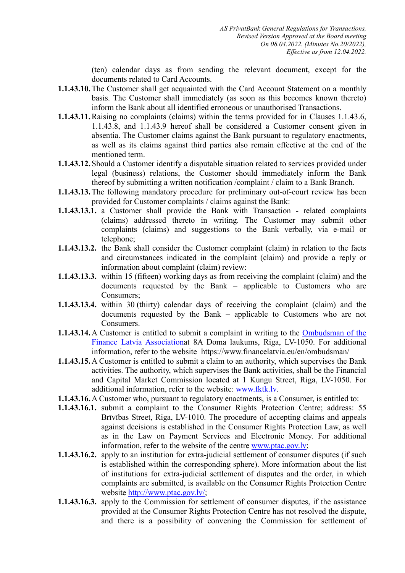(ten) calendar days as from sending the relevant document, except for the documents related to Card Accounts.

- **1.1.43.10.**The Customer shall get acquainted with the Card Account Statement on a monthly basis. The Customer shall immediately (as soon as this becomes known thereto) inform the Bank about all identified erroneous or unauthorised Transactions.
- **1.1.43.11.**Raising no complaints (claims) within the terms provided for in Clauses 1.1.43.6, 1.1.43.8, and 1.1.43.9 hereof shall be considered a Customer consent given in absentia. The Customer claims against the Bank pursuant to regulatory enactments, as well as its claims against third parties also remain effective at the end of the mentioned term.
- **1.1.43.12.** Should a Customer identify a disputable situation related to services provided under legal (business) relations, the Customer should immediately inform the Bank thereof by submitting a written notification /complaint / claim to a Bank Branch.
- **1.1.43.13.**The following mandatory procedure for preliminary out-of-court review has been provided for Customer complaints / claims against the Bank:
- **1.1.43.13.1.** a Customer shall provide the Bank with Transaction related complaints (claims) addressed thereto in writing. The Customer may submit other complaints (claims) and suggestions to the Bank verbally, via e-mail or telephone;
- **1.1.43.13.2.** the Bank shall consider the Customer complaint (claim) in relation to the facts and circumstances indicated in the complaint (claim) and provide a reply or information about complaint (claim) review:
- **1.1.43.13.3.** within 15 (fifteen) working days as from receiving the complaint (claim) and the documents requested by the Bank – applicable to Customers who are Consumers;
- **1.1.43.13.4.** within 30 (thirty) calendar days of receiving the complaint (claim) and the documents requested by the Bank – applicable to Customers who are not Consumers.
- **1.1.43.14.**A Customer is entitled to submit a complaint in writing to the [Ombudsman of the](https://www.financelatvia.eu/wp-content/uploads/2018/09/Ombudsman-of-the-Finance-Latvia-Association_infopage.pdf)  [Finance Latvia Associationa](https://www.financelatvia.eu/wp-content/uploads/2018/09/Ombudsman-of-the-Finance-Latvia-Association_infopage.pdf)t 8A Doma laukums, Riga, LV-1050. For additional information, refer to the website https://www.financelatvia.eu/en/ombudsman/
- **1.1.43.15.**A Customer is entitled to submit a claim to an authority, which supervises the Bank activities. The authority, which supervises the Bank activities, shall be the Financial and Capital Market Commission located at 1 Kungu Street, Riga, LV-1050. For additional information, refer to the website: [www.fktk.lv.](http://www.fktk.lv/)
- **1.1.43.16.**A Customer who, pursuant to regulatory enactments, is a Consumer, is entitled to:
- **1.1.43.16.1.** submit a complaint to the Consumer Rights Protection Centre; address: 55 Brīvības Street, Riga, LV-1010. The procedure of accepting claims and appeals against decisions is established in the Consumer Rights Protection Law, as well as in the Law on Payment Services and Electronic Money. For additional information, refer to the website of the centre [www.ptac.gov.lv;](http://www.ptac.gov.lv/)
- **1.1.43.16.2.** apply to an institution for extra-judicial settlement of consumer disputes (if such is established within the corresponding sphere). More information about the list of institutions for extra-judicial settlement of disputes and the order, in which complaints are submitted, is available on the Consumer Rights Protection Centre website [http://www.ptac.gov.lv/;](http://www.ptac.gov.lv/)
- **1.1.43.16.3.** apply to the Commission for settlement of consumer disputes, if the assistance provided at the Consumer Rights Protection Centre has not resolved the dispute, and there is a possibility of convening the Commission for settlement of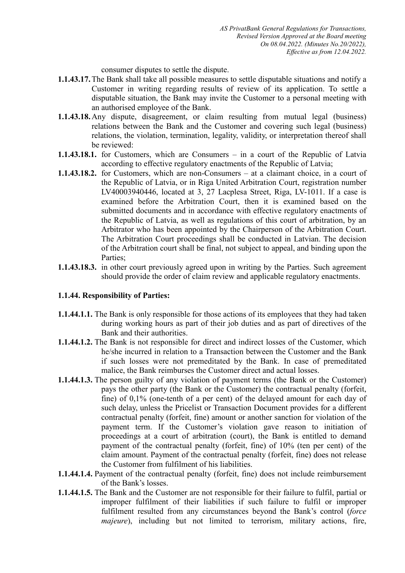consumer disputes to settle the dispute.

- **1.1.43.17.**The Bank shall take all possible measures to settle disputable situations and notify a Customer in writing regarding results of review of its application. To settle a disputable situation, the Bank may invite the Customer to a personal meeting with an authorised employee of the Bank.
- **1.1.43.18.**Any dispute, disagreement, or claim resulting from mutual legal (business) relations between the Bank and the Customer and covering such legal (business) relations, the violation, termination, legality, validity, or interpretation thereof shall be reviewed:
- **1.1.43.18.1.** for Customers, which are Consumers in a court of the Republic of Latvia according to effective regulatory enactments of the Republic of Latvia;
- **1.1.43.18.2.** for Customers, which are non-Consumers at a claimant choice, in a court of the Republic of Latvia, or in Riga United Arbitration Court, registration number LV40003940446, located at 3, 27 Lacplesa Street, Riga, LV-1011. If a case is examined before the Arbitration Court, then it is examined based on the submitted documents and in accordance with effective regulatory enactments of the Republic of Latvia, as well as regulations of this court of arbitration, by an Arbitrator who has been appointed by the Chairperson of the Arbitration Court. The Arbitration Court proceedings shall be conducted in Latvian. The decision of the Arbitration court shall be final, not subject to appeal, and binding upon the Parties;
- **1.1.43.18.3.** in other court previously agreed upon in writing by the Parties. Such agreement should provide the order of claim review and applicable regulatory enactments.

# **1.1.44. Responsibility of Parties:**

- **1.1.44.1.1.** The Bank is only responsible for those actions of its employees that they had taken during working hours as part of their job duties and as part of directives of the Bank and their authorities.
- **1.1.44.1.2.** The Bank is not responsible for direct and indirect losses of the Customer, which he/she incurred in relation to a Transaction between the Customer and the Bank if such losses were not premeditated by the Bank. In case of premeditated malice, the Bank reimburses the Customer direct and actual losses.
- **1.1.44.1.3.** The person guilty of any violation of payment terms (the Bank or the Customer) pays the other party (the Bank or the Customer) the contractual penalty (forfeit, fine) of 0,1% (one-tenth of a per cent) of the delayed amount for each day of such delay, unless the Pricelist or Transaction Document provides for a different contractual penalty (forfeit, fine) amount or another sanction for violation of the payment term. If the Customer's violation gave reason to initiation of proceedings at a court of arbitration (court), the Bank is entitled to demand payment of the contractual penalty (forfeit, fine) of 10% (ten per cent) of the claim amount. Payment of the contractual penalty (forfeit, fine) does not release the Customer from fulfilment of his liabilities.
- **1.1.44.1.4.** Payment of the contractual penalty (forfeit, fine) does not include reimbursement of the Bank's losses.
- **1.1.44.1.5.** The Bank and the Customer are not responsible for their failure to fulfil, partial or improper fulfilment of their liabilities if such failure to fulfil or improper fulfilment resulted from any circumstances beyond the Bank's control (*force majeure*), including but not limited to terrorism, military actions, fire,